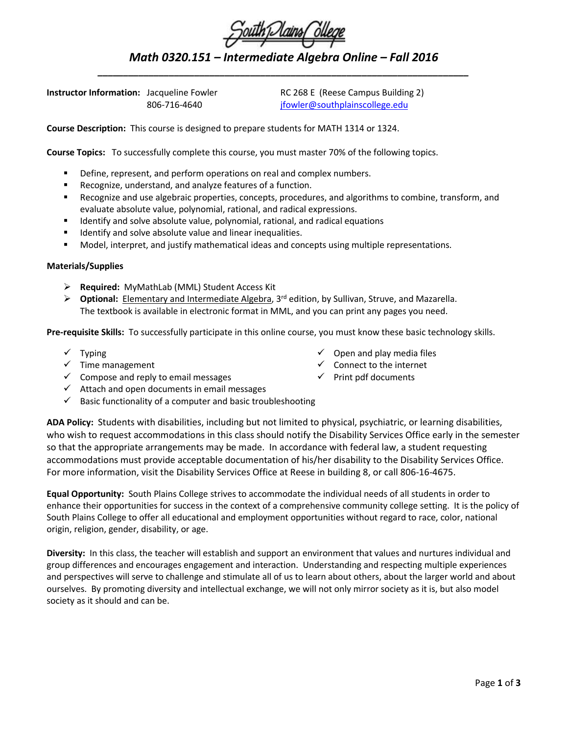## *\_\_\_\_\_\_\_\_\_\_\_\_\_\_\_\_\_\_\_\_\_\_\_\_\_\_\_\_\_\_\_\_\_\_\_\_\_\_\_\_\_\_\_\_\_\_\_\_\_\_\_\_\_\_\_\_\_\_\_\_\_\_\_\_\_\_\_\_\_\_\_\_\_* **Instructor Information:** Jacqueline Fowler RC 268 E (Reese Campus Building 2)

806-716-4640 [jfowler@southplainscollege.edu](mailto:jfowler@southplainscollege.edu)

**Course Description:** This course is designed to prepare students for MATH 1314 or 1324.

**Course Topics:** To successfully complete this course, you must master 70% of the following topics.

- Define, represent, and perform operations on real and complex numbers.
- Recognize, understand, and analyze features of a function.
- Recognize and use algebraic properties, concepts, procedures, and algorithms to combine, transform, and evaluate absolute value, polynomial, rational, and radical expressions.
- Identify and solve absolute value, polynomial, rational, and radical equations
- Identify and solve absolute value and linear inequalities.
- Model, interpret, and justify mathematical ideas and concepts using multiple representations.

## **Materials/Supplies**

- **Required:** MyMathLab (MML) Student Access Kit
- **▶ Optional:** Elementary and Intermediate Algebra, 3<sup>rd</sup> edition, by Sullivan, Struve, and Mazarella. The textbook is available in electronic format in MML, and you can print any pages you need.

**Pre-requisite Skills:** To successfully participate in this online course, you must know these basic technology skills.

- $\checkmark$  Typing
- $\checkmark$  Time management
- $\checkmark$  Compose and reply to email messages
- $\checkmark$  Attach and open documents in email messages
- $\checkmark$  Basic functionality of a computer and basic troubleshooting

**ADA Policy:** Students with disabilities, including but not limited to physical, psychiatric, or learning disabilities, who wish to request accommodations in this class should notify the Disability Services Office early in the semester so that the appropriate arrangements may be made. In accordance with federal law, a student requesting accommodations must provide acceptable documentation of his/her disability to the Disability Services Office. For more information, visit the Disability Services Office at Reese in building 8, or call 806-16-4675.

**Equal Opportunity:** South Plains College strives to accommodate the individual needs of all students in order to enhance their opportunities for success in the context of a comprehensive community college setting. It is the policy of South Plains College to offer all educational and employment opportunities without regard to race, color, national origin, religion, gender, disability, or age.

**Diversity:** In this class, the teacher will establish and support an environment that values and nurtures individual and group differences and encourages engagement and interaction. Understanding and respecting multiple experiences and perspectives will serve to challenge and stimulate all of us to learn about others, about the larger world and about ourselves. By promoting diversity and intellectual exchange, we will not only mirror society as it is, but also model society as it should and can be.

- $\checkmark$  Open and play media files
- $\checkmark$  Connect to the internet
- $\checkmark$  Print pdf documents



*Math 0320.151 – Intermediate Algebra Online – Fall 2016*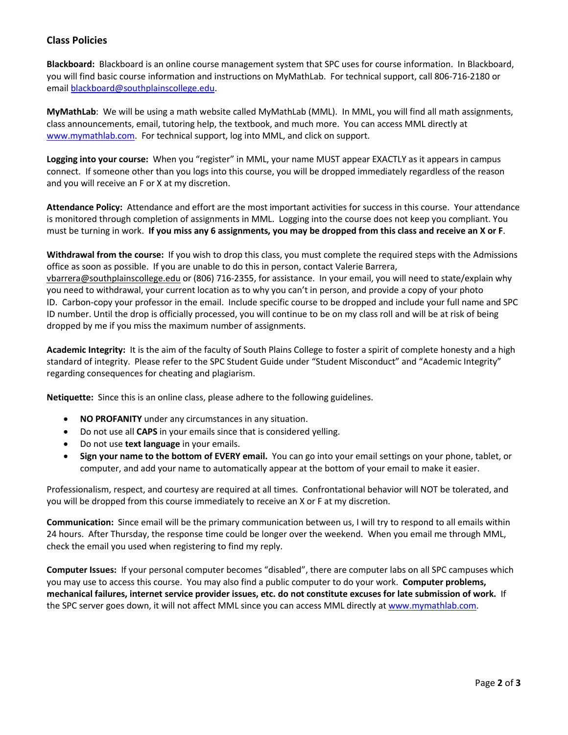## **Class Policies**

**Blackboard:** Blackboard is an online course management system that SPC uses for course information. In Blackboard, you will find basic course information and instructions on MyMathLab. For technical support, call 806-716-2180 or email [blackboard@southplainscollege.edu.](mailto:blackboard@southplainscollege.edu)

**MyMathLab**: We will be using a math website called MyMathLab (MML). In MML, you will find all math assignments, class announcements, email, tutoring help, the textbook, and much more. You can access MML directly at [www.mymathlab.com.](http://www.mymathlab.com/) For technical support, log into MML, and click on support.

**Logging into your course:** When you "register" in MML, your name MUST appear EXACTLY as it appears in campus connect. If someone other than you logs into this course, you will be dropped immediately regardless of the reason and you will receive an F or X at my discretion.

**Attendance Policy:** Attendance and effort are the most important activities for success in this course. Your attendance is monitored through completion of assignments in MML. Logging into the course does not keep you compliant. You must be turning in work. **If you miss any 6 assignments, you may be dropped from this class and receive an X or F**.

**Withdrawal from the course:** If you wish to drop this class, you must complete the required steps with the Admissions office as soon as possible. If you are unable to do this in person, contact Valerie Barrera, [vbarrera@southplainscollege.edu](https://owa.southplainscollege.edu/owa/redir.aspx?SURL=wqxBvOjySl5Dcqu9U7xGEiHy_8tSDiLFkppudylzUavT-qVA4VvSCG0AYQBpAGwAdABvADoAdgBiAGEAcgByAGUAcgBhAEAAcwBvAHUAdABoAHAAbABhAGkAbgBzAGMAbwBsAGwAZQBnAGUALgBlAGQAdQA.&URL=mailto%3avbarrera%40southplainscollege.edu) or (806) 716-2355, for assistance. In your email, you will need to state/explain why you need to withdrawal, your current location as to why you can't in person, and provide a copy of your photo ID. Carbon-copy your professor in the email. Include specific course to be dropped and include your full name and SPC ID number. Until the drop is officially processed, you will continue to be on my class roll and will be at risk of being dropped by me if you miss the maximum number of assignments.

**Academic Integrity:** It is the aim of the faculty of South Plains College to foster a spirit of complete honesty and a high standard of integrity. Please refer to the SPC Student Guide under "Student Misconduct" and "Academic Integrity" regarding consequences for cheating and plagiarism.

**Netiquette:** Since this is an online class, please adhere to the following guidelines.

- **NO PROFANITY** under any circumstances in any situation.
- Do not use all **CAPS** in your emails since that is considered yelling.
- Do not use **text language** in your emails.
- **Sign your name to the bottom of EVERY email.** You can go into your email settings on your phone, tablet, or computer, and add your name to automatically appear at the bottom of your email to make it easier.

Professionalism, respect, and courtesy are required at all times. Confrontational behavior will NOT be tolerated, and you will be dropped from this course immediately to receive an X or F at my discretion.

**Communication:** Since email will be the primary communication between us, I will try to respond to all emails within 24 hours. After Thursday, the response time could be longer over the weekend. When you email me through MML, check the email you used when registering to find my reply.

**Computer Issues:** If your personal computer becomes "disabled", there are computer labs on all SPC campuses which you may use to access this course. You may also find a public computer to do your work. **Computer problems, mechanical failures, internet service provider issues, etc. do not constitute excuses for late submission of work.** If the SPC server goes down, it will not affect MML since you can access MML directly at [www.mymathlab.com.](http://www.mymathlab.com/)